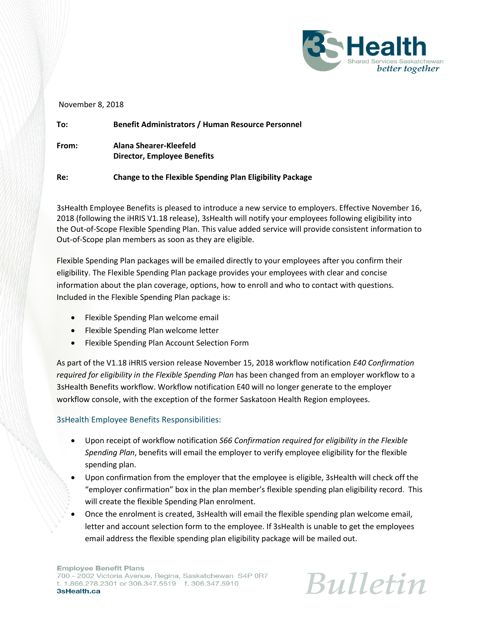

## November 8, 2018

| To:   | <b>Benefit Administrators / Human Resource Personnel</b>        |
|-------|-----------------------------------------------------------------|
| From: | Alana Shearer-Kleefeld<br>Director, Employee Benefits           |
| Re:   | <b>Change to the Flexible Spending Plan Eligibility Package</b> |

3sHealth Employee Benefits is pleased to introduce a new service to employers. Effective November 16, 2018 (following the iHRIS V1.18 release), 3sHealth will notify your employees following eligibility into the Out-of-Scope Flexible Spending Plan. This value added service will provide consistent information to Out-of-Scope plan members as soon as they are eligible.

Flexible Spending Plan packages will be emailed directly to your employees after you confirm their eligibility. The Flexible Spending Plan package provides your employees with clear and concise information about the plan coverage, options, how to enroll and who to contact with questions. Included in the Flexible Spending Plan package is:

- Flexible Spending Plan welcome email
- Flexible Spending Plan welcome letter
- **•** Flexible Spending Plan Account Selection Form

As part of the V1.18 iHRIS version release November 15, 2018 workflow notification *E40 Confirmation required for eligibility in the Flexible Spending Plan* has been changed from an employer workflow to a 3sHealth Benefits workflow. Workflow notification E40 will no longer generate to the employer workflow console, with the exception of the former Saskatoon Health Region employees.

## 3sHealth Employee Benefits Responsibilities:

- Upon receipt of workflow notification *S66 Confirmation required for eligibility in the Flexible Spending Plan*, benefits will email the employer to verify employee eligibility for the flexible spending plan.
- Upon confirmation from the employer that the employee is eligible, 3sHealth will check off the "employer confirmation" box in the plan member's flexible spending plan eligibility record. This will create the flexible Spending Plan enrolment.
- Once the enrolment is created, 3sHealth will email the flexible spending plan welcome email, letter and account selection form to the employee. If 3sHealth is unable to get the employees email address the flexible spending plan eligibility package will be mailed out.